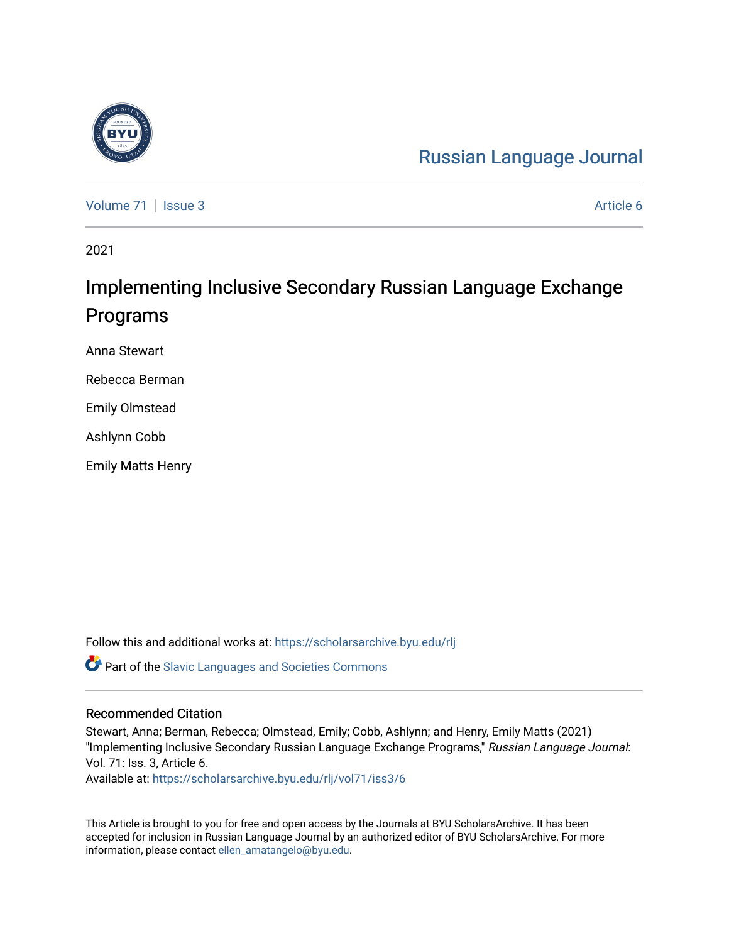# [Russian Language Journal](https://scholarsarchive.byu.edu/rlj)

[Volume 71](https://scholarsarchive.byu.edu/rlj/vol71) | [Issue 3](https://scholarsarchive.byu.edu/rlj/vol71/iss3) Article 6

2021

# Implementing Inclusive Secondary Russian Language Exchange Programs

Anna Stewart

Rebecca Berman

Emily Olmstead

Ashlynn Cobb

Emily Matts Henry

Follow this and additional works at: [https://scholarsarchive.byu.edu/rlj](https://scholarsarchive.byu.edu/rlj?utm_source=scholarsarchive.byu.edu%2Frlj%2Fvol71%2Fiss3%2F6&utm_medium=PDF&utm_campaign=PDFCoverPages) **C** Part of the Slavic Languages and Societies Commons

#### Recommended Citation

Stewart, Anna; Berman, Rebecca; Olmstead, Emily; Cobb, Ashlynn; and Henry, Emily Matts (2021) "Implementing Inclusive Secondary Russian Language Exchange Programs," Russian Language Journal: Vol. 71: Iss. 3, Article 6. Available at: [https://scholarsarchive.byu.edu/rlj/vol71/iss3/6](https://scholarsarchive.byu.edu/rlj/vol71/iss3/6?utm_source=scholarsarchive.byu.edu%2Frlj%2Fvol71%2Fiss3%2F6&utm_medium=PDF&utm_campaign=PDFCoverPages) 

This Article is brought to you for free and open access by the Journals at BYU ScholarsArchive. It has been accepted for inclusion in Russian Language Journal by an authorized editor of BYU ScholarsArchive. For more information, please contact [ellen\\_amatangelo@byu.edu.](mailto:ellen_amatangelo@byu.edu)

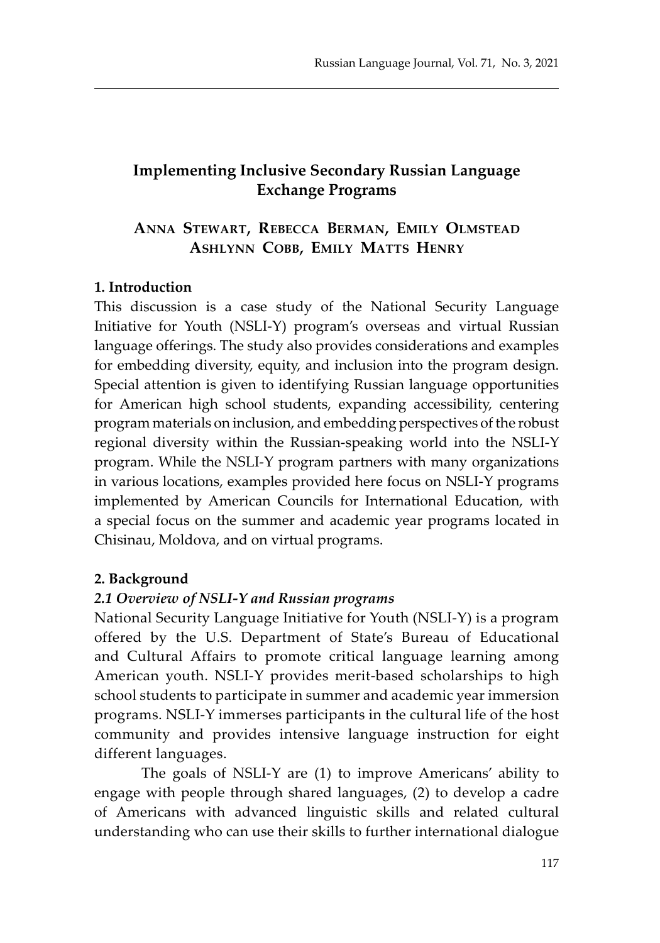# **Implementing Inclusive Secondary Russian Language Exchange Programs**

# **Anna Stewart, Rebecca Berman, Emily Olmstead Ashlynn Cobb, Emily Matts Henry**

#### **1. Introduction**

This discussion is a case study of the National Security Language Initiative for Youth (NSLI-Y) program's overseas and virtual Russian language offerings. The study also provides considerations and examples for embedding diversity, equity, and inclusion into the program design. Special attention is given to identifying Russian language opportunities for American high school students, expanding accessibility, centering program materials on inclusion, and embedding perspectives of the robust regional diversity within the Russian-speaking world into the NSLI-Y program. While the NSLI-Y program partners with many organizations in various locations, examples provided here focus on NSLI-Y programs implemented by American Councils for International Education, with a special focus on the summer and academic year programs located in Chisinau, Moldova, and on virtual programs.

#### **2. Background**

#### *2.1 Overview of NSLI-Y and Russian programs*

National Security Language Initiative for Youth (NSLI-Y) is a program offered by the U.S. Department of State's Bureau of Educational and Cultural Affairs to promote critical language learning among American youth. NSLI-Y provides merit-based scholarships to high school students to participate in summer and academic year immersion programs. NSLI-Y immerses participants in the cultural life of the host community and provides intensive language instruction for eight different languages.

The goals of NSLI-Y are (1) to improve Americans' ability to engage with people through shared languages, (2) to develop a cadre of Americans with advanced linguistic skills and related cultural understanding who can use their skills to further international dialogue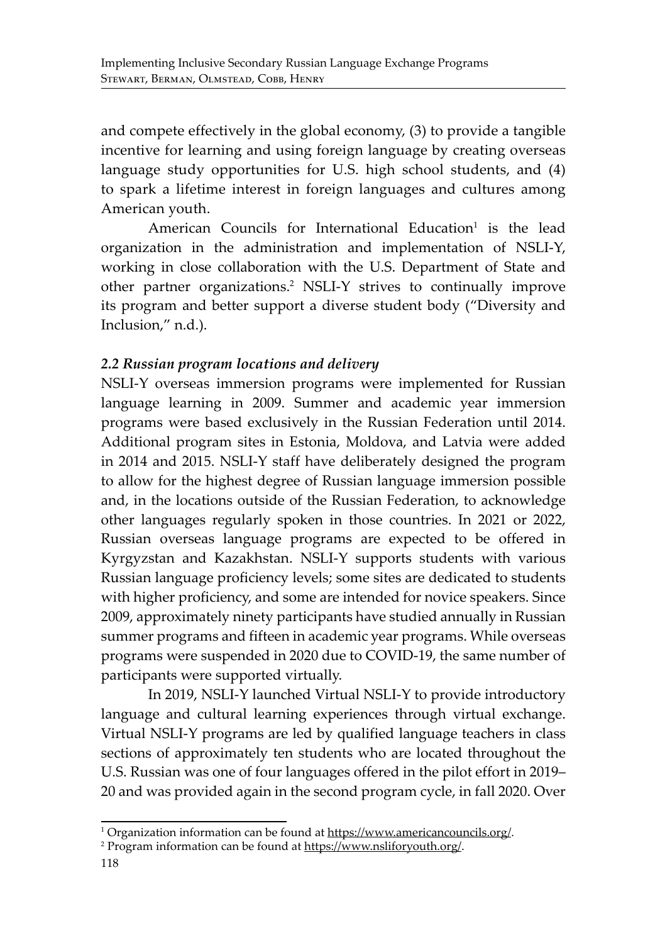and compete effectively in the global economy, (3) to provide a tangible incentive for learning and using foreign language by creating overseas language study opportunities for U.S. high school students, and (4) to spark a lifetime interest in foreign languages and cultures among American youth.

American Councils for International Education<sup>1</sup> is the lead organization in the administration and implementation of NSLI-Y, working in close collaboration with the U.S. Department of State and other partner organizations.<sup>2</sup> NSLI-Y strives to continually improve its program and better support a diverse student body ("Diversity and Inclusion," n.d.).

## *2.2 Russian program locations and delivery*

NSLI-Y overseas immersion programs were implemented for Russian language learning in 2009. Summer and academic year immersion programs were based exclusively in the Russian Federation until 2014. Additional program sites in Estonia, Moldova, and Latvia were added in 2014 and 2015. NSLI-Y staff have deliberately designed the program to allow for the highest degree of Russian language immersion possible and, in the locations outside of the Russian Federation, to acknowledge other languages regularly spoken in those countries. In 2021 or 2022, Russian overseas language programs are expected to be offered in Kyrgyzstan and Kazakhstan. NSLI-Y supports students with various Russian language proficiency levels; some sites are dedicated to students with higher proficiency, and some are intended for novice speakers. Since 2009, approximately ninety participants have studied annually in Russian summer programs and fifteen in academic year programs. While overseas programs were suspended in 2020 due to COVID-19, the same number of participants were supported virtually.

In 2019, NSLI-Y launched Virtual NSLI-Y to provide introductory language and cultural learning experiences through virtual exchange. Virtual NSLI-Y programs are led by qualified language teachers in class sections of approximately ten students who are located throughout the U.S. Russian was one of four languages offered in the pilot effort in 2019– 20 and was provided again in the second program cycle, in fall 2020. Over

<sup>&</sup>lt;sup>1</sup> Organization information can be found at https://www.americancouncils.org/.

<sup>&</sup>lt;sup>2</sup> Program information can be found at https://www.nsliforyouth.org/.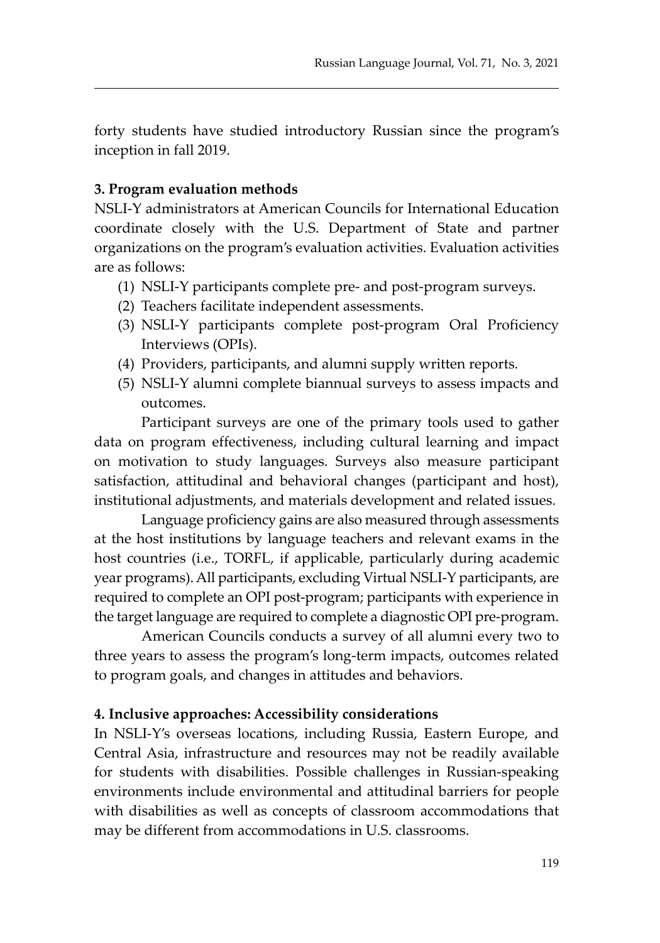forty students have studied introductory Russian since the program's inception in fall 2019.

#### **3. Program evaluation methods**

NSLI-Y administrators at American Councils for International Education coordinate closely with the U.S. Department of State and partner organizations on the program's evaluation activities. Evaluation activities are as follows:

- (1) NSLI-Y participants complete pre- and post-program surveys.
- (2) Teachers facilitate independent assessments.
- (3) NSLI-Y participants complete post-program Oral Proficiency Interviews (OPIs).
- (4) Providers, participants, and alumni supply written reports.
- (5) NSLI-Y alumni complete biannual surveys to assess impacts and outcomes.

Participant surveys are one of the primary tools used to gather data on program effectiveness, including cultural learning and impact on motivation to study languages. Surveys also measure participant satisfaction, attitudinal and behavioral changes (participant and host), institutional adjustments, and materials development and related issues.

Language proficiency gains are also measured through assessments at the host institutions by language teachers and relevant exams in the host countries (i.e., TORFL, if applicable, particularly during academic year programs). All participants, excluding Virtual NSLI-Y participants, are required to complete an OPI post-program; participants with experience in the target language are required to complete a diagnostic OPI pre-program.

American Councils conducts a survey of all alumni every two to three years to assess the program's long-term impacts, outcomes related to program goals, and changes in attitudes and behaviors.

#### **4. Inclusive approaches: Accessibility considerations**

In NSLI-Y's overseas locations, including Russia, Eastern Europe, and Central Asia, infrastructure and resources may not be readily available for students with disabilities. Possible challenges in Russian-speaking environments include environmental and attitudinal barriers for people with disabilities as well as concepts of classroom accommodations that may be different from accommodations in U.S. classrooms.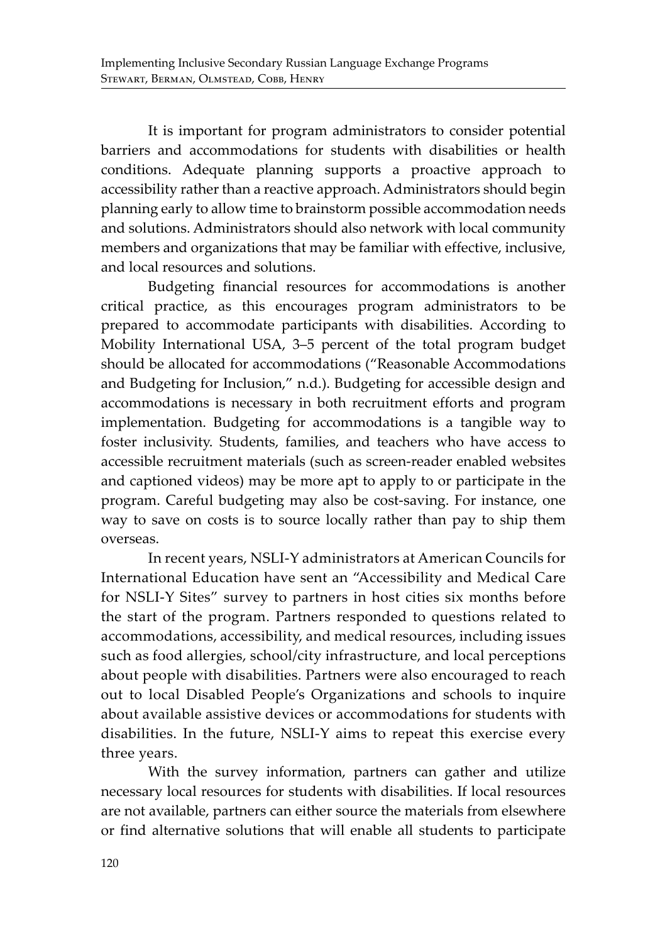It is important for program administrators to consider potential barriers and accommodations for students with disabilities or health conditions. Adequate planning supports a proactive approach to accessibility rather than a reactive approach. Administrators should begin planning early to allow time to brainstorm possible accommodation needs and solutions. Administrators should also network with local community members and organizations that may be familiar with effective, inclusive, and local resources and solutions.

Budgeting financial resources for accommodations is another critical practice, as this encourages program administrators to be prepared to accommodate participants with disabilities. According to Mobility International USA, 3–5 percent of the total program budget should be allocated for accommodations ("Reasonable Accommodations and Budgeting for Inclusion," n.d.). Budgeting for accessible design and accommodations is necessary in both recruitment efforts and program implementation. Budgeting for accommodations is a tangible way to foster inclusivity. Students, families, and teachers who have access to accessible recruitment materials (such as screen-reader enabled websites and captioned videos) may be more apt to apply to or participate in the program. Careful budgeting may also be cost-saving. For instance, one way to save on costs is to source locally rather than pay to ship them overseas.

In recent years, NSLI-Y administrators at American Councils for International Education have sent an "Accessibility and Medical Care for NSLI-Y Sites" survey to partners in host cities six months before the start of the program. Partners responded to questions related to accommodations, accessibility, and medical resources, including issues such as food allergies, school/city infrastructure, and local perceptions about people with disabilities. Partners were also encouraged to reach out to local Disabled People's Organizations and schools to inquire about available assistive devices or accommodations for students with disabilities. In the future, NSLI-Y aims to repeat this exercise every three years.

With the survey information, partners can gather and utilize necessary local resources for students with disabilities. If local resources are not available, partners can either source the materials from elsewhere or find alternative solutions that will enable all students to participate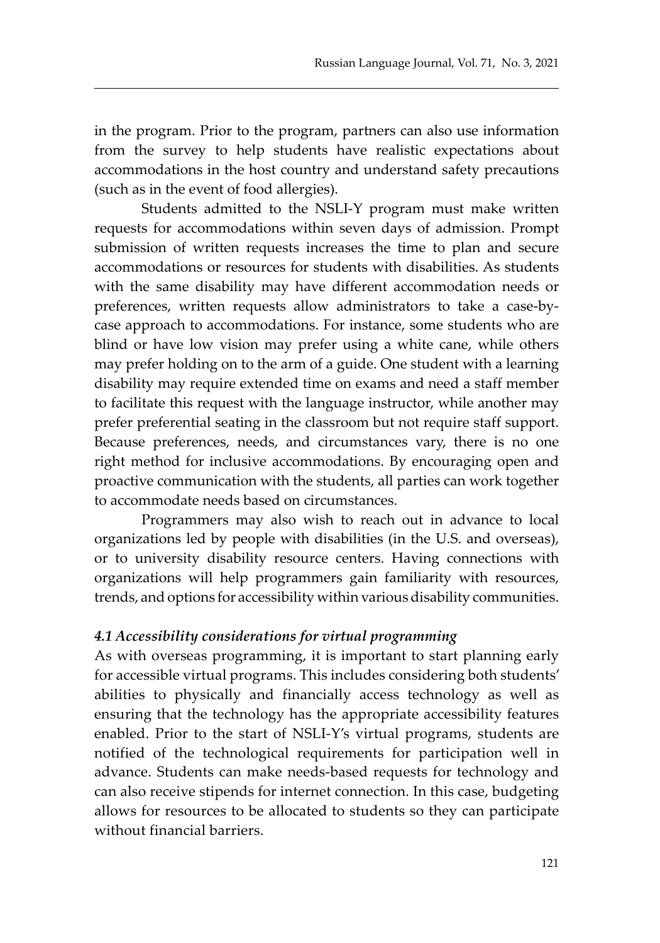in the program. Prior to the program, partners can also use information from the survey to help students have realistic expectations about accommodations in the host country and understand safety precautions (such as in the event of food allergies).

Students admitted to the NSLI-Y program must make written requests for accommodations within seven days of admission. Prompt submission of written requests increases the time to plan and secure accommodations or resources for students with disabilities. As students with the same disability may have different accommodation needs or preferences, written requests allow administrators to take a case-bycase approach to accommodations. For instance, some students who are blind or have low vision may prefer using a white cane, while others may prefer holding on to the arm of a guide. One student with a learning disability may require extended time on exams and need a staff member to facilitate this request with the language instructor, while another may prefer preferential seating in the classroom but not require staff support. Because preferences, needs, and circumstances vary, there is no one right method for inclusive accommodations. By encouraging open and proactive communication with the students, all parties can work together to accommodate needs based on circumstances.

Programmers may also wish to reach out in advance to local organizations led by people with disabilities (in the U.S. and overseas), or to university disability resource centers. Having connections with organizations will help programmers gain familiarity with resources, trends, and options for accessibility within various disability communities.

#### *4.1 Accessibility considerations for virtual programming*

As with overseas programming, it is important to start planning early for accessible virtual programs. This includes considering both students' abilities to physically and financially access technology as well as ensuring that the technology has the appropriate accessibility features enabled. Prior to the start of NSLI-Y's virtual programs, students are notified of the technological requirements for participation well in advance. Students can make needs-based requests for technology and can also receive stipends for internet connection. In this case, budgeting allows for resources to be allocated to students so they can participate without financial barriers.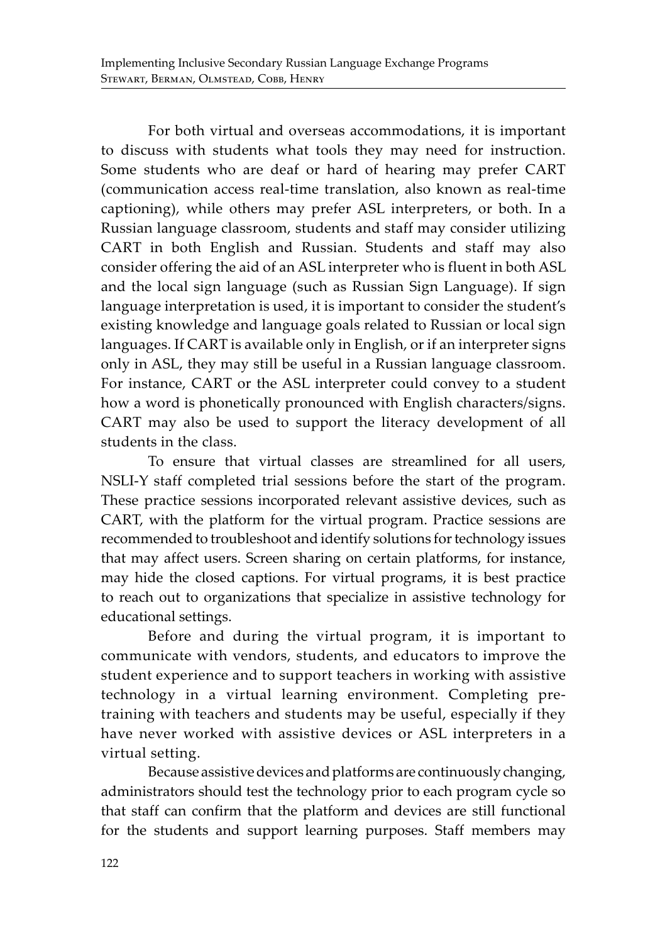For both virtual and overseas accommodations, it is important to discuss with students what tools they may need for instruction. Some students who are deaf or hard of hearing may prefer CART (communication access real-time translation, also known as real-time captioning), while others may prefer ASL interpreters, or both. In a Russian language classroom, students and staff may consider utilizing CART in both English and Russian. Students and staff may also consider offering the aid of an ASL interpreter who is fluent in both ASL and the local sign language (such as Russian Sign Language). If sign language interpretation is used, it is important to consider the student's existing knowledge and language goals related to Russian or local sign languages. If CART is available only in English, or if an interpreter signs only in ASL, they may still be useful in a Russian language classroom. For instance, CART or the ASL interpreter could convey to a student how a word is phonetically pronounced with English characters/signs. CART may also be used to support the literacy development of all students in the class.

To ensure that virtual classes are streamlined for all users, NSLI-Y staff completed trial sessions before the start of the program. These practice sessions incorporated relevant assistive devices, such as CART, with the platform for the virtual program. Practice sessions are recommended to troubleshoot and identify solutions for technology issues that may affect users. Screen sharing on certain platforms, for instance, may hide the closed captions. For virtual programs, it is best practice to reach out to organizations that specialize in assistive technology for educational settings.

Before and during the virtual program, it is important to communicate with vendors, students, and educators to improve the student experience and to support teachers in working with assistive technology in a virtual learning environment. Completing pretraining with teachers and students may be useful, especially if they have never worked with assistive devices or ASL interpreters in a virtual setting.

Because assistive devices and platforms are continuously changing, administrators should test the technology prior to each program cycle so that staff can confirm that the platform and devices are still functional for the students and support learning purposes. Staff members may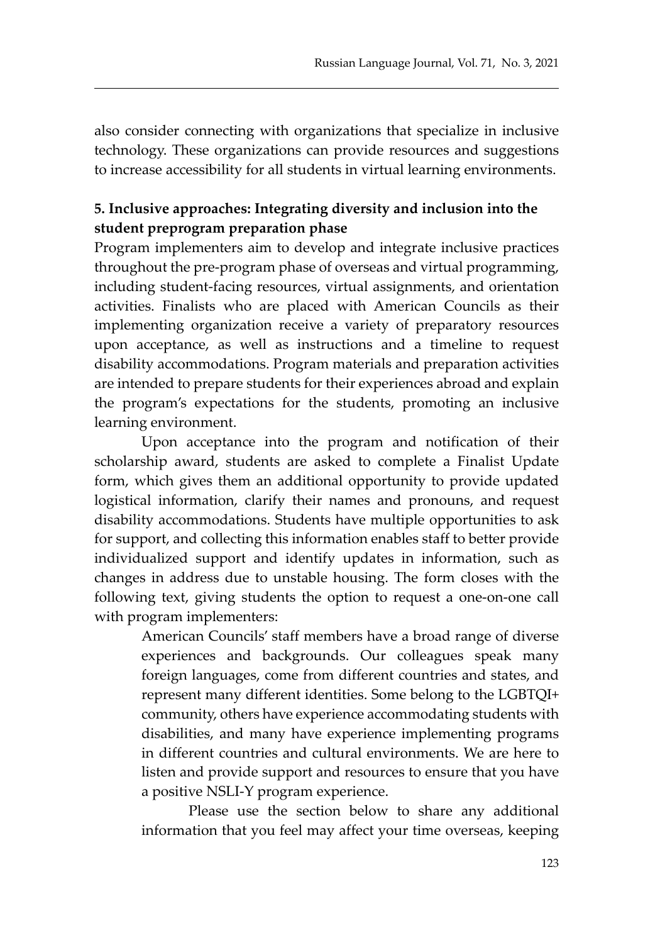also consider connecting with organizations that specialize in inclusive technology. These organizations can provide resources and suggestions to increase accessibility for all students in virtual learning environments.

# **5. Inclusive approaches: Integrating diversity and inclusion into the student preprogram preparation phase**

Program implementers aim to develop and integrate inclusive practices throughout the pre-program phase of overseas and virtual programming, including student-facing resources, virtual assignments, and orientation activities. Finalists who are placed with American Councils as their implementing organization receive a variety of preparatory resources upon acceptance, as well as instructions and a timeline to request disability accommodations. Program materials and preparation activities are intended to prepare students for their experiences abroad and explain the program's expectations for the students, promoting an inclusive learning environment.

Upon acceptance into the program and notification of their scholarship award, students are asked to complete a Finalist Update form, which gives them an additional opportunity to provide updated logistical information, clarify their names and pronouns, and request disability accommodations. Students have multiple opportunities to ask for support, and collecting this information enables staff to better provide individualized support and identify updates in information, such as changes in address due to unstable housing. The form closes with the following text, giving students the option to request a one-on-one call with program implementers:

American Councils' staff members have a broad range of diverse experiences and backgrounds. Our colleagues speak many foreign languages, come from different countries and states, and represent many different identities. Some belong to the LGBTQI+ community, others have experience accommodating students with disabilities, and many have experience implementing programs in different countries and cultural environments. We are here to listen and provide support and resources to ensure that you have a positive NSLI-Y program experience.

Please use the section below to share any additional information that you feel may affect your time overseas, keeping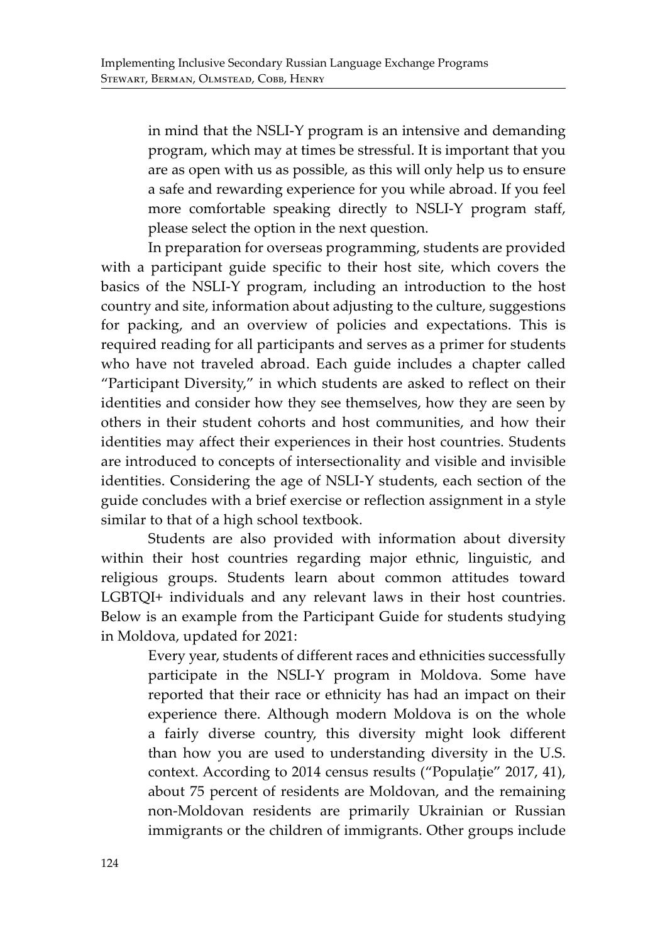in mind that the NSLI-Y program is an intensive and demanding program, which may at times be stressful. It is important that you are as open with us as possible, as this will only help us to ensure a safe and rewarding experience for you while abroad. If you feel more comfortable speaking directly to NSLI-Y program staff, please select the option in the next question.

In preparation for overseas programming, students are provided with a participant guide specific to their host site, which covers the basics of the NSLI-Y program, including an introduction to the host country and site, information about adjusting to the culture, suggestions for packing, and an overview of policies and expectations. This is required reading for all participants and serves as a primer for students who have not traveled abroad. Each guide includes a chapter called "Participant Diversity," in which students are asked to reflect on their identities and consider how they see themselves, how they are seen by others in their student cohorts and host communities, and how their identities may affect their experiences in their host countries. Students are introduced to concepts of intersectionality and visible and invisible identities. Considering the age of NSLI-Y students, each section of the guide concludes with a brief exercise or reflection assignment in a style similar to that of a high school textbook.

Students are also provided with information about diversity within their host countries regarding major ethnic, linguistic, and religious groups. Students learn about common attitudes toward LGBTQI+ individuals and any relevant laws in their host countries. Below is an example from the Participant Guide for students studying in Moldova, updated for 2021:

Every year, students of different races and ethnicities successfully participate in the NSLI-Y program in Moldova. Some have reported that their race or ethnicity has had an impact on their experience there. Although modern Moldova is on the whole a fairly diverse country, this diversity might look different than how you are used to understanding diversity in the U.S. context. According to 2014 census results ("Populaţie" 2017, 41), about 75 percent of residents are Moldovan, and the remaining non-Moldovan residents are primarily Ukrainian or Russian immigrants or the children of immigrants. Other groups include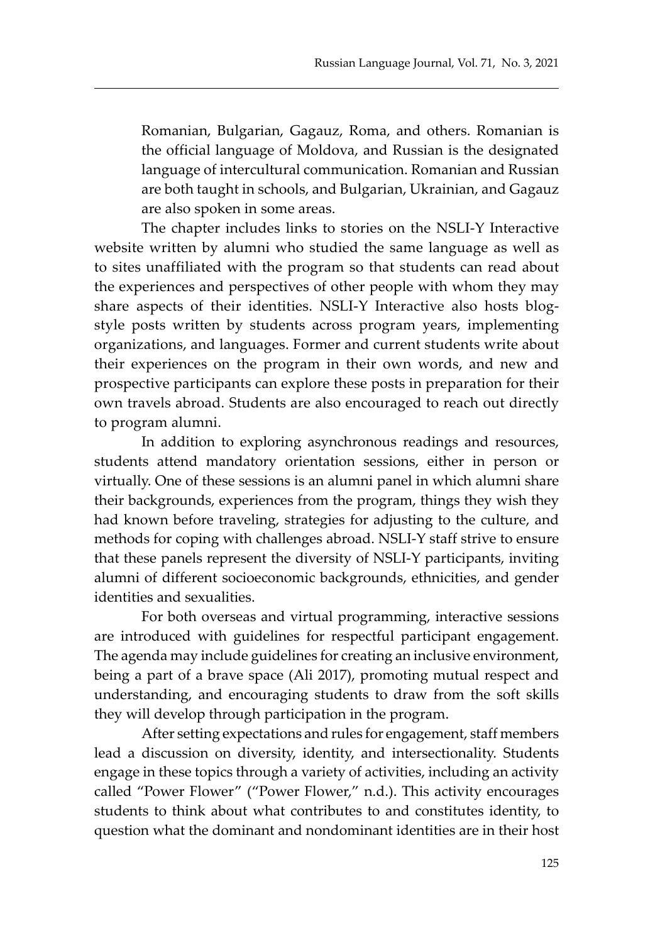Romanian, Bulgarian, Gagauz, Roma, and others. Romanian is the official language of Moldova, and Russian is the designated language of intercultural communication. Romanian and Russian are both taught in schools, and Bulgarian, Ukrainian, and Gagauz are also spoken in some areas.

The chapter includes links to stories on the NSLI-Y Interactive website written by alumni who studied the same language as well as to sites unaffiliated with the program so that students can read about the experiences and perspectives of other people with whom they may share aspects of their identities. NSLI-Y Interactive also hosts blogstyle posts written by students across program years, implementing organizations, and languages. Former and current students write about their experiences on the program in their own words, and new and prospective participants can explore these posts in preparation for their own travels abroad. Students are also encouraged to reach out directly to program alumni.

In addition to exploring asynchronous readings and resources, students attend mandatory orientation sessions, either in person or virtually. One of these sessions is an alumni panel in which alumni share their backgrounds, experiences from the program, things they wish they had known before traveling, strategies for adjusting to the culture, and methods for coping with challenges abroad. NSLI-Y staff strive to ensure that these panels represent the diversity of NSLI-Y participants, inviting alumni of different socioeconomic backgrounds, ethnicities, and gender identities and sexualities.

For both overseas and virtual programming, interactive sessions are introduced with guidelines for respectful participant engagement. The agenda may include guidelines for creating an inclusive environment, being a part of a brave space (Ali 2017), promoting mutual respect and understanding, and encouraging students to draw from the soft skills they will develop through participation in the program.

After setting expectations and rules for engagement, staff members lead a discussion on diversity, identity, and intersectionality. Students engage in these topics through a variety of activities, including an activity called "Power Flower" ("Power Flower," n.d.). This activity encourages students to think about what contributes to and constitutes identity, to question what the dominant and nondominant identities are in their host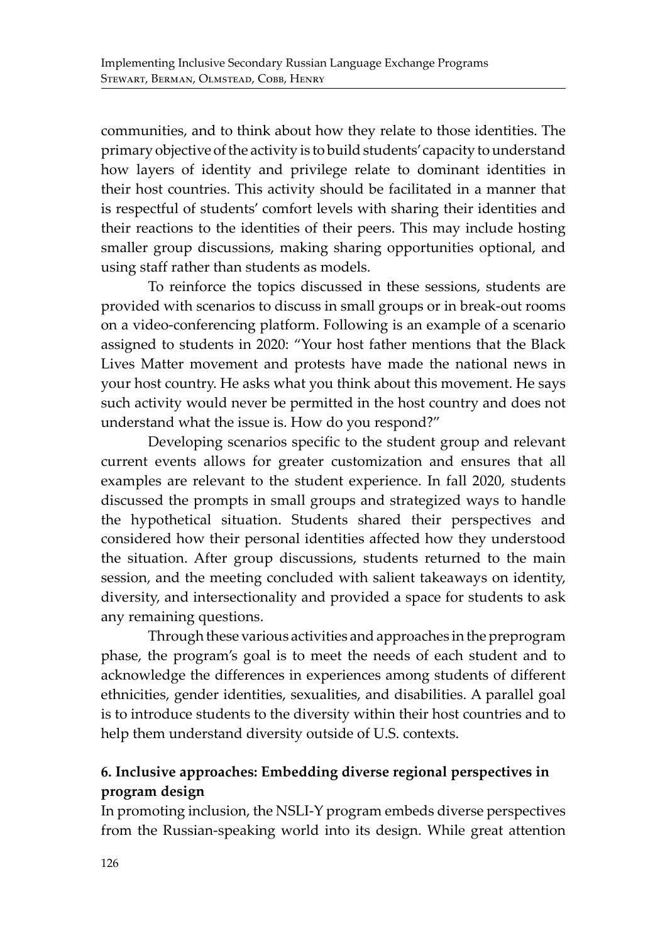communities, and to think about how they relate to those identities. The primary objective of the activity is to build students' capacity to understand how layers of identity and privilege relate to dominant identities in their host countries. This activity should be facilitated in a manner that is respectful of students' comfort levels with sharing their identities and their reactions to the identities of their peers. This may include hosting smaller group discussions, making sharing opportunities optional, and using staff rather than students as models.

To reinforce the topics discussed in these sessions, students are provided with scenarios to discuss in small groups or in break-out rooms on a video-conferencing platform. Following is an example of a scenario assigned to students in 2020: "Your host father mentions that the Black Lives Matter movement and protests have made the national news in your host country. He asks what you think about this movement. He says such activity would never be permitted in the host country and does not understand what the issue is. How do you respond?"

Developing scenarios specific to the student group and relevant current events allows for greater customization and ensures that all examples are relevant to the student experience. In fall 2020, students discussed the prompts in small groups and strategized ways to handle the hypothetical situation. Students shared their perspectives and considered how their personal identities affected how they understood the situation. After group discussions, students returned to the main session, and the meeting concluded with salient takeaways on identity, diversity, and intersectionality and provided a space for students to ask any remaining questions.

Through these various activities and approaches in the preprogram phase, the program's goal is to meet the needs of each student and to acknowledge the differences in experiences among students of different ethnicities, gender identities, sexualities, and disabilities. A parallel goal is to introduce students to the diversity within their host countries and to help them understand diversity outside of U.S. contexts.

# **6. Inclusive approaches: Embedding diverse regional perspectives in program design**

In promoting inclusion, the NSLI-Y program embeds diverse perspectives from the Russian-speaking world into its design. While great attention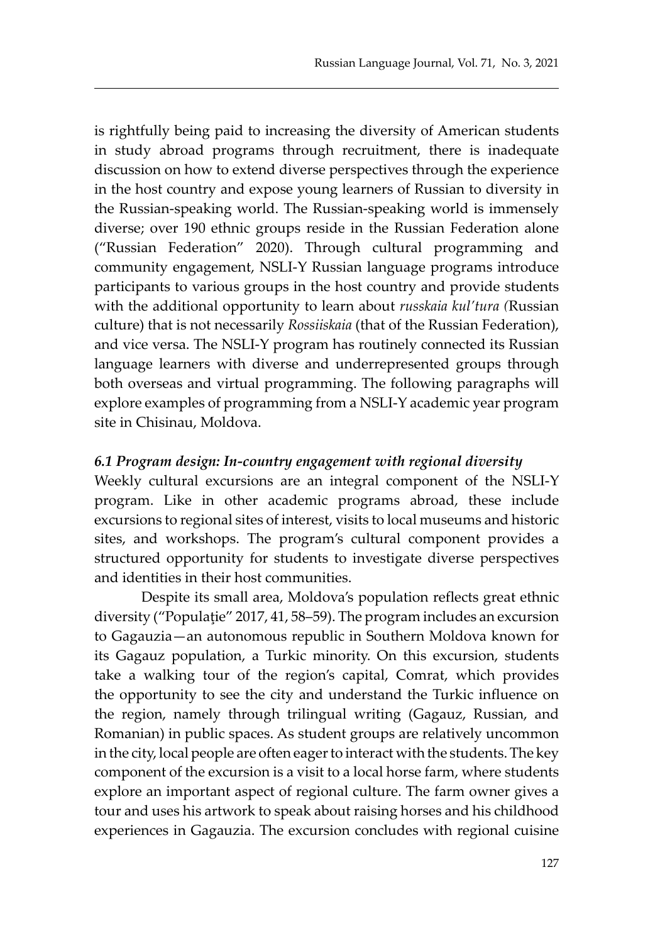is rightfully being paid to increasing the diversity of American students in study abroad programs through recruitment, there is inadequate discussion on how to extend diverse perspectives through the experience in the host country and expose young learners of Russian to diversity in the Russian-speaking world. The Russian-speaking world is immensely diverse; over 190 ethnic groups reside in the Russian Federation alone ("Russian Federation" 2020). Through cultural programming and community engagement, NSLI-Y Russian language programs introduce participants to various groups in the host country and provide students with the additional opportunity to learn about *russkaia kul'tura (*Russian culture) that is not necessarily *Rossiiskaia* (that of the Russian Federation), and vice versa. The NSLI-Y program has routinely connected its Russian language learners with diverse and underrepresented groups through both overseas and virtual programming. The following paragraphs will explore examples of programming from a NSLI-Y academic year program site in Chisinau, Moldova.

#### *6.1 Program design: In-country engagement with regional diversity*

Weekly cultural excursions are an integral component of the NSLI-Y program. Like in other academic programs abroad, these include excursions to regional sites of interest, visits to local museums and historic sites, and workshops. The program's cultural component provides a structured opportunity for students to investigate diverse perspectives and identities in their host communities.

Despite its small area, Moldova's population reflects great ethnic diversity ("Populaţie" 2017, 41, 58–59). The program includes an excursion to Gagauzia—an autonomous republic in Southern Moldova known for its Gagauz population, a Turkic minority. On this excursion, students take a walking tour of the region's capital, Comrat, which provides the opportunity to see the city and understand the Turkic influence on the region, namely through trilingual writing (Gagauz, Russian, and Romanian) in public spaces. As student groups are relatively uncommon in the city, local people are often eager to interact with the students. The key component of the excursion is a visit to a local horse farm, where students explore an important aspect of regional culture. The farm owner gives a tour and uses his artwork to speak about raising horses and his childhood experiences in Gagauzia. The excursion concludes with regional cuisine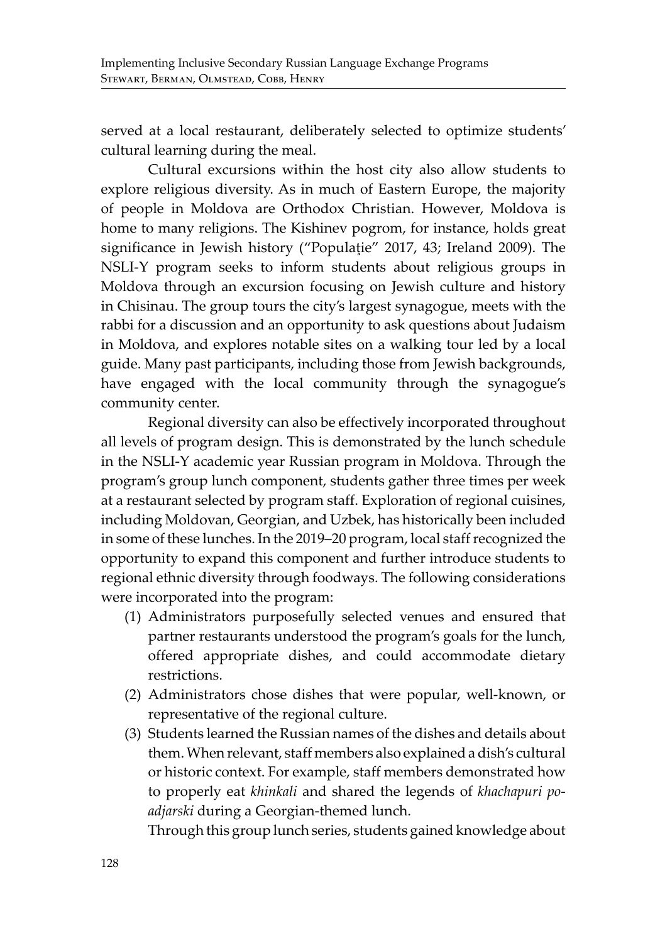served at a local restaurant, deliberately selected to optimize students' cultural learning during the meal.

Cultural excursions within the host city also allow students to explore religious diversity. As in much of Eastern Europe, the majority of people in Moldova are Orthodox Christian. However, Moldova is home to many religions. The Kishinev pogrom, for instance, holds great significance in Jewish history ("Populaţie" 2017, 43; Ireland 2009). The NSLI-Y program seeks to inform students about religious groups in Moldova through an excursion focusing on Jewish culture and history in Chisinau. The group tours the city's largest synagogue, meets with the rabbi for a discussion and an opportunity to ask questions about Judaism in Moldova, and explores notable sites on a walking tour led by a local guide. Many past participants, including those from Jewish backgrounds, have engaged with the local community through the synagogue's community center.

Regional diversity can also be effectively incorporated throughout all levels of program design. This is demonstrated by the lunch schedule in the NSLI-Y academic year Russian program in Moldova. Through the program's group lunch component, students gather three times per week at a restaurant selected by program staff. Exploration of regional cuisines, including Moldovan, Georgian, and Uzbek, has historically been included in some of these lunches. In the 2019–20 program, local staff recognized the opportunity to expand this component and further introduce students to regional ethnic diversity through foodways. The following considerations were incorporated into the program:

- (1) Administrators purposefully selected venues and ensured that partner restaurants understood the program's goals for the lunch, offered appropriate dishes, and could accommodate dietary restrictions.
- (2) Administrators chose dishes that were popular, well-known, or representative of the regional culture.
- (3) Students learned the Russian names of the dishes and details about them. When relevant, staff members also explained a dish's cultural or historic context. For example, staff members demonstrated how to properly eat *khinkali* and shared the legends of *khachapuri poadjarski* during a Georgian-themed lunch.

Through this group lunch series, students gained knowledge about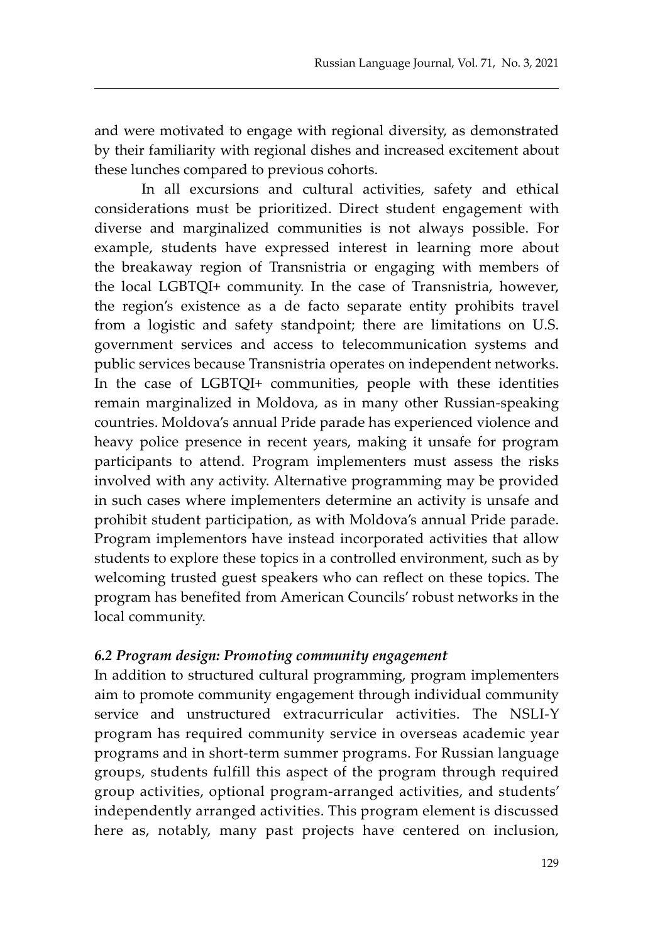and were motivated to engage with regional diversity, as demonstrated by their familiarity with regional dishes and increased excitement about these lunches compared to previous cohorts.

In all excursions and cultural activities, safety and ethical considerations must be prioritized. Direct student engagement with diverse and marginalized communities is not always possible. For example, students have expressed interest in learning more about the breakaway region of Transnistria or engaging with members of the local LGBTQI+ community. In the case of Transnistria, however, the region's existence as a de facto separate entity prohibits travel from a logistic and safety standpoint; there are limitations on U.S. government services and access to telecommunication systems and public services because Transnistria operates on independent networks. In the case of LGBTQI+ communities, people with these identities remain marginalized in Moldova, as in many other Russian-speaking countries. Moldova's annual Pride parade has experienced violence and heavy police presence in recent years, making it unsafe for program participants to attend. Program implementers must assess the risks involved with any activity. Alternative programming may be provided in such cases where implementers determine an activity is unsafe and prohibit student participation, as with Moldova's annual Pride parade. Program implementors have instead incorporated activities that allow students to explore these topics in a controlled environment, such as by welcoming trusted guest speakers who can reflect on these topics. The program has benefited from American Councils' robust networks in the local community.

#### *6.2 Program design: Promoting community engagement*

In addition to structured cultural programming, program implementers aim to promote community engagement through individual community service and unstructured extracurricular activities. The NSLI-Y program has required community service in overseas academic year programs and in short-term summer programs. For Russian language groups, students fulfill this aspect of the program through required group activities, optional program-arranged activities, and students' independently arranged activities. This program element is discussed here as, notably, many past projects have centered on inclusion,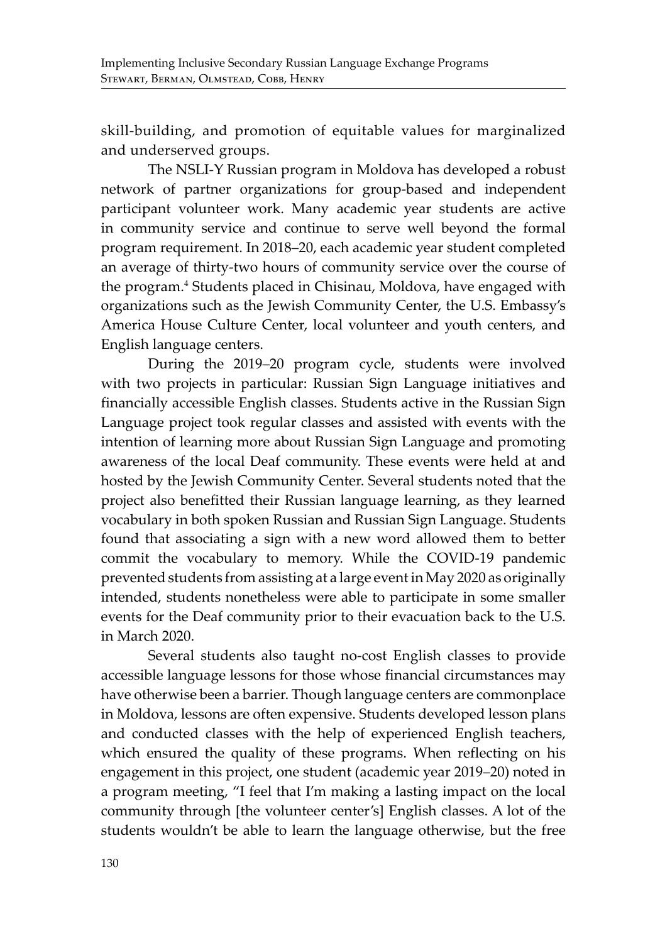skill-building, and promotion of equitable values for marginalized and underserved groups.

The NSLI-Y Russian program in Moldova has developed a robust network of partner organizations for group-based and independent participant volunteer work. Many academic year students are active in community service and continue to serve well beyond the formal program requirement. In 2018–20, each academic year student completed an average of thirty-two hours of community service over the course of the program.<sup>4</sup> Students placed in Chisinau, Moldova, have engaged with organizations such as the Jewish Community Center, the U.S. Embassy's America House Culture Center, local volunteer and youth centers, and English language centers.

During the 2019–20 program cycle, students were involved with two projects in particular: Russian Sign Language initiatives and financially accessible English classes. Students active in the Russian Sign Language project took regular classes and assisted with events with the intention of learning more about Russian Sign Language and promoting awareness of the local Deaf community. These events were held at and hosted by the Jewish Community Center. Several students noted that the project also benefitted their Russian language learning, as they learned vocabulary in both spoken Russian and Russian Sign Language. Students found that associating a sign with a new word allowed them to better commit the vocabulary to memory. While the COVID-19 pandemic prevented students from assisting at a large event in May 2020 as originally intended, students nonetheless were able to participate in some smaller events for the Deaf community prior to their evacuation back to the U.S. in March 2020.

Several students also taught no-cost English classes to provide accessible language lessons for those whose financial circumstances may have otherwise been a barrier. Though language centers are commonplace in Moldova, lessons are often expensive. Students developed lesson plans and conducted classes with the help of experienced English teachers, which ensured the quality of these programs. When reflecting on his engagement in this project, one student (academic year 2019–20) noted in a program meeting, "I feel that I'm making a lasting impact on the local community through [the volunteer center's] English classes. A lot of the students wouldn't be able to learn the language otherwise, but the free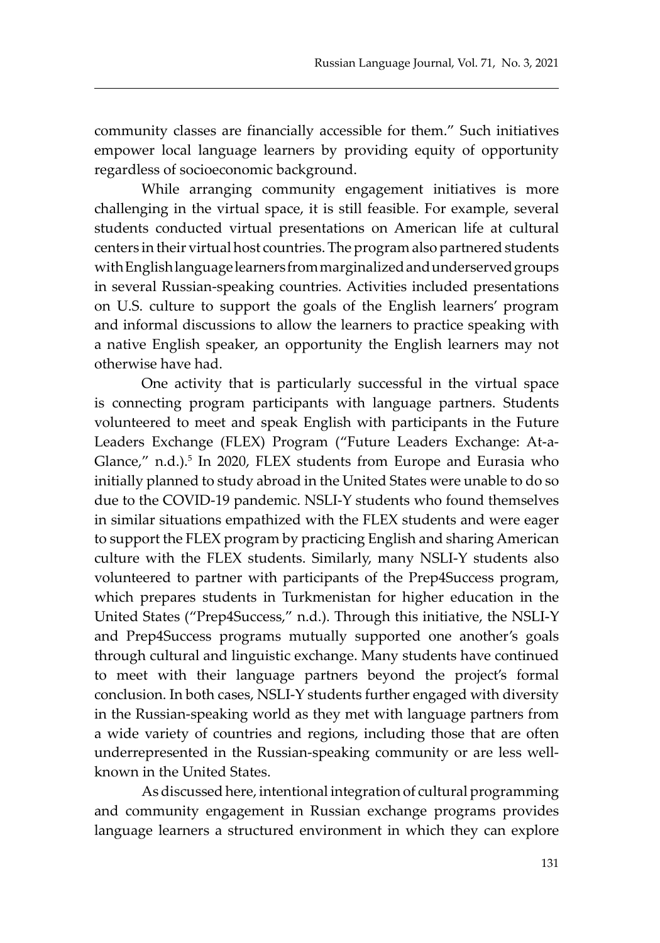community classes are financially accessible for them." Such initiatives empower local language learners by providing equity of opportunity regardless of socioeconomic background.

While arranging community engagement initiatives is more challenging in the virtual space, it is still feasible. For example, several students conducted virtual presentations on American life at cultural centers in their virtual host countries. The program also partnered students with English language learners from marginalized and underserved groups in several Russian-speaking countries. Activities included presentations on U.S. culture to support the goals of the English learners' program and informal discussions to allow the learners to practice speaking with a native English speaker, an opportunity the English learners may not otherwise have had.

One activity that is particularly successful in the virtual space is connecting program participants with language partners. Students volunteered to meet and speak English with participants in the Future Leaders Exchange (FLEX) Program ("Future Leaders Exchange: At-a-Glance," n.d.).<sup>5</sup> In 2020, FLEX students from Europe and Eurasia who initially planned to study abroad in the United States were unable to do so due to the COVID-19 pandemic. NSLI-Y students who found themselves in similar situations empathized with the FLEX students and were eager to support the FLEX program by practicing English and sharing American culture with the FLEX students. Similarly, many NSLI-Y students also volunteered to partner with participants of the Prep4Success program, which prepares students in Turkmenistan for higher education in the United States ("Prep4Success," n.d.). Through this initiative, the NSLI-Y and Prep4Success programs mutually supported one another's goals through cultural and linguistic exchange. Many students have continued to meet with their language partners beyond the project's formal conclusion. In both cases, NSLI-Y students further engaged with diversity in the Russian-speaking world as they met with language partners from a wide variety of countries and regions, including those that are often underrepresented in the Russian-speaking community or are less wellknown in the United States.

As discussed here, intentional integration of cultural programming and community engagement in Russian exchange programs provides language learners a structured environment in which they can explore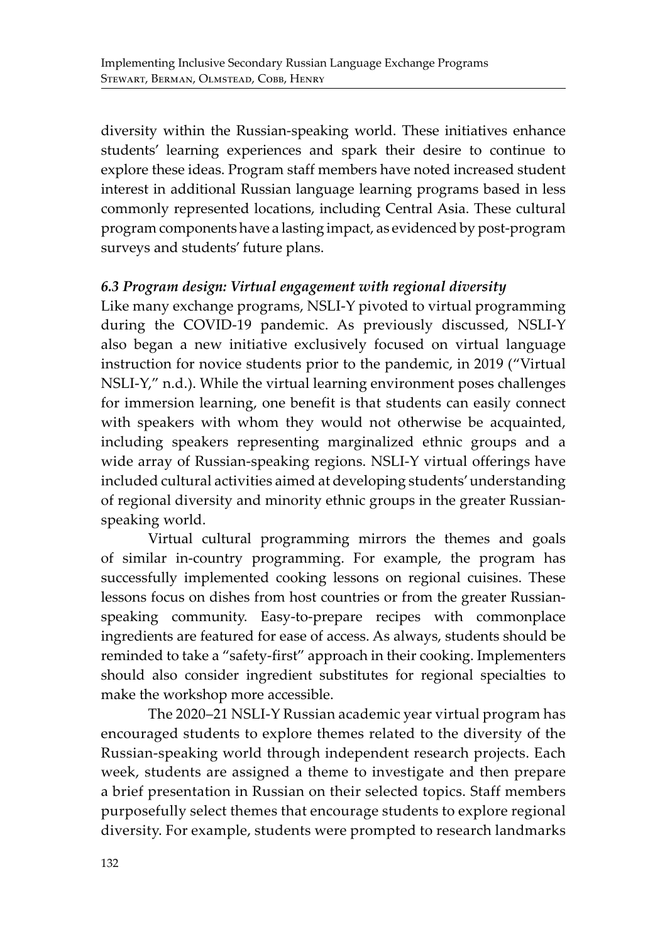diversity within the Russian-speaking world. These initiatives enhance students' learning experiences and spark their desire to continue to explore these ideas. Program staff members have noted increased student interest in additional Russian language learning programs based in less commonly represented locations, including Central Asia. These cultural program components have a lasting impact, as evidenced by post-program surveys and students' future plans.

### *6.3 Program design: Virtual engagement with regional diversity*

Like many exchange programs, NSLI-Y pivoted to virtual programming during the COVID-19 pandemic. As previously discussed, NSLI-Y also began a new initiative exclusively focused on virtual language instruction for novice students prior to the pandemic, in 2019 ("Virtual NSLI-Y," n.d.). While the virtual learning environment poses challenges for immersion learning, one benefit is that students can easily connect with speakers with whom they would not otherwise be acquainted, including speakers representing marginalized ethnic groups and a wide array of Russian-speaking regions. NSLI-Y virtual offerings have included cultural activities aimed at developing students' understanding of regional diversity and minority ethnic groups in the greater Russianspeaking world.

Virtual cultural programming mirrors the themes and goals of similar in-country programming. For example, the program has successfully implemented cooking lessons on regional cuisines. These lessons focus on dishes from host countries or from the greater Russianspeaking community. Easy-to-prepare recipes with commonplace ingredients are featured for ease of access. As always, students should be reminded to take a "safety-first" approach in their cooking. Implementers should also consider ingredient substitutes for regional specialties to make the workshop more accessible.

The 2020–21 NSLI-Y Russian academic year virtual program has encouraged students to explore themes related to the diversity of the Russian-speaking world through independent research projects. Each week, students are assigned a theme to investigate and then prepare a brief presentation in Russian on their selected topics. Staff members purposefully select themes that encourage students to explore regional diversity. For example, students were prompted to research landmarks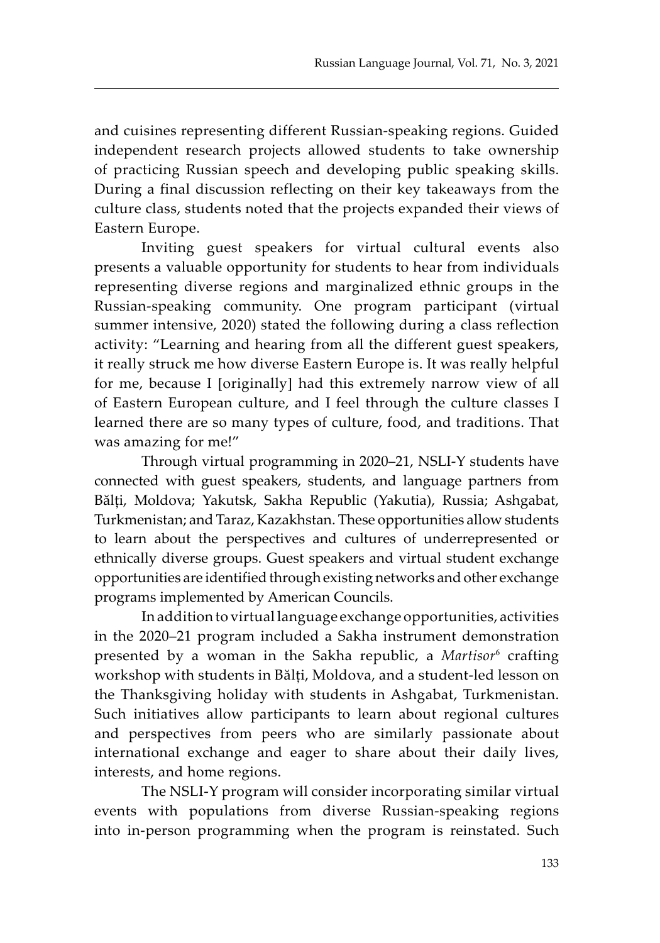and cuisines representing different Russian-speaking regions. Guided independent research projects allowed students to take ownership of practicing Russian speech and developing public speaking skills. During a final discussion reflecting on their key takeaways from the culture class, students noted that the projects expanded their views of Eastern Europe.

Inviting guest speakers for virtual cultural events also presents a valuable opportunity for students to hear from individuals representing diverse regions and marginalized ethnic groups in the Russian-speaking community. One program participant (virtual summer intensive, 2020) stated the following during a class reflection activity: "Learning and hearing from all the different guest speakers, it really struck me how diverse Eastern Europe is. It was really helpful for me, because I [originally] had this extremely narrow view of all of Eastern European culture, and I feel through the culture classes I learned there are so many types of culture, food, and traditions. That was amazing for me!"

Through virtual programming in 2020–21, NSLI-Y students have connected with guest speakers, students, and language partners from Bălți, Moldova; Yakutsk, Sakha Republic (Yakutia), Russia; Ashgabat, Turkmenistan; and Taraz, Kazakhstan. These opportunities allow students to learn about the perspectives and cultures of underrepresented or ethnically diverse groups. Guest speakers and virtual student exchange opportunities are identified through existing networks and other exchange programs implemented by American Councils.

In addition to virtual language exchange opportunities, activities in the 2020–21 program included a Sakha instrument demonstration presented by a woman in the Sakha republic, a *Martisor<sup>6</sup>* crafting workshop with students in Bălți, Moldova, and a student-led lesson on the Thanksgiving holiday with students in Ashgabat, Turkmenistan. Such initiatives allow participants to learn about regional cultures and perspectives from peers who are similarly passionate about international exchange and eager to share about their daily lives, interests, and home regions.

The NSLI-Y program will consider incorporating similar virtual events with populations from diverse Russian-speaking regions into in-person programming when the program is reinstated. Such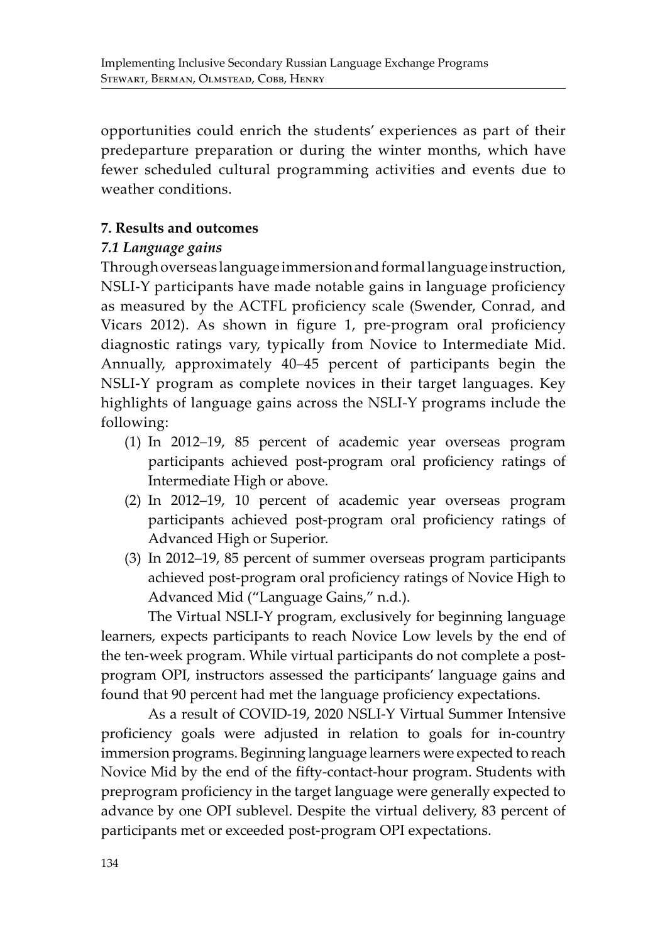opportunities could enrich the students' experiences as part of their predeparture preparation or during the winter months, which have fewer scheduled cultural programming activities and events due to weather conditions.

# **7. Results and outcomes**

## *7.1 Language gains*

Through overseas language immersion and formal language instruction, NSLI-Y participants have made notable gains in language proficiency as measured by the ACTFL proficiency scale (Swender, Conrad, and Vicars 2012). As shown in figure 1, pre-program oral proficiency diagnostic ratings vary, typically from Novice to Intermediate Mid. Annually, approximately 40–45 percent of participants begin the NSLI-Y program as complete novices in their target languages. Key highlights of language gains across the NSLI-Y programs include the following:

- (1) In 2012–19, 85 percent of academic year overseas program participants achieved post-program oral proficiency ratings of Intermediate High or above.
- (2) In 2012–19, 10 percent of academic year overseas program participants achieved post-program oral proficiency ratings of Advanced High or Superior.
- (3) In 2012–19, 85 percent of summer overseas program participants achieved post-program oral proficiency ratings of Novice High to Advanced Mid ("Language Gains," n.d.).

The Virtual NSLI-Y program, exclusively for beginning language learners, expects participants to reach Novice Low levels by the end of the ten-week program. While virtual participants do not complete a postprogram OPI, instructors assessed the participants' language gains and found that 90 percent had met the language proficiency expectations.

As a result of COVID-19, 2020 NSLI-Y Virtual Summer Intensive proficiency goals were adjusted in relation to goals for in-country immersion programs. Beginning language learners were expected to reach Novice Mid by the end of the fifty-contact-hour program. Students with preprogram proficiency in the target language were generally expected to advance by one OPI sublevel. Despite the virtual delivery, 83 percent of participants met or exceeded post-program OPI expectations.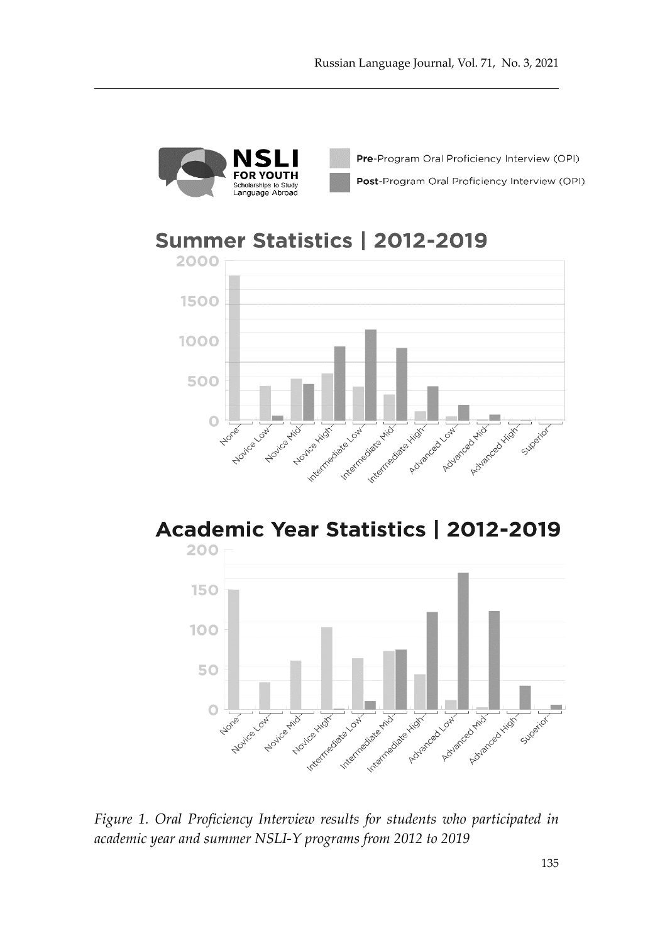

Pre-Program Oral Proficiency Interview (OPI) Post-Program Oral Proficiency Interview (OPI)

# Summer Statistics | 2012-2019



# Academic Year Statistics | 2012-2019



*Figure 1. Oral Proficiency Interview results for students who participated in academic year and summer NSLI-Y programs from 2012 to 2019*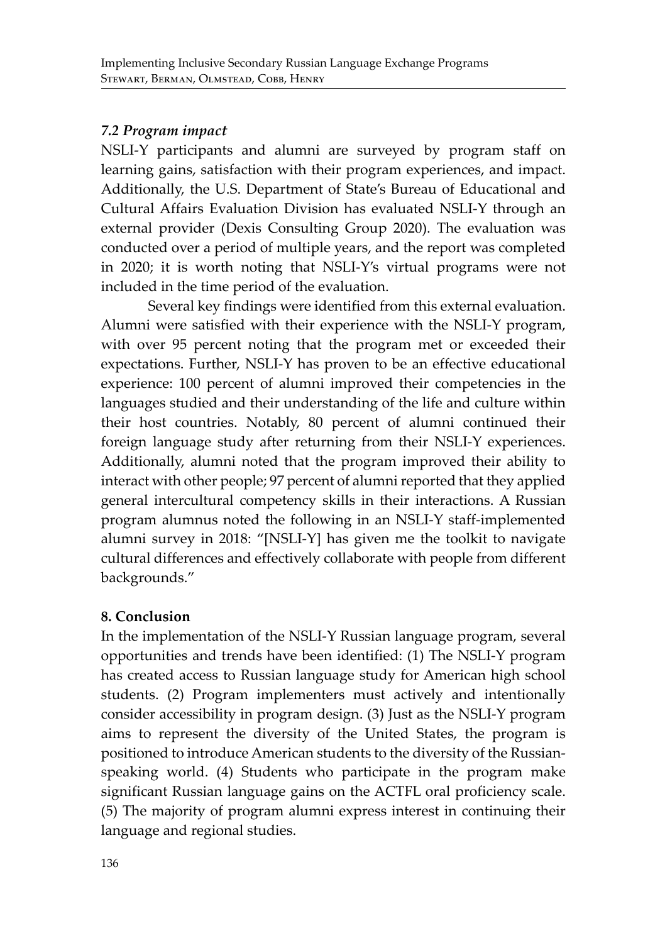# *7.2 Program impact*

NSLI-Y participants and alumni are surveyed by program staff on learning gains, satisfaction with their program experiences, and impact. Additionally, the U.S. Department of State's Bureau of Educational and Cultural Affairs Evaluation Division has evaluated NSLI-Y through an external provider (Dexis Consulting Group 2020). The evaluation was conducted over a period of multiple years, and the report was completed in 2020; it is worth noting that NSLI-Y's virtual programs were not included in the time period of the evaluation.

Several key findings were identified from this external evaluation. Alumni were satisfied with their experience with the NSLI-Y program, with over 95 percent noting that the program met or exceeded their expectations. Further, NSLI-Y has proven to be an effective educational experience: 100 percent of alumni improved their competencies in the languages studied and their understanding of the life and culture within their host countries. Notably, 80 percent of alumni continued their foreign language study after returning from their NSLI-Y experiences. Additionally, alumni noted that the program improved their ability to interact with other people; 97 percent of alumni reported that they applied general intercultural competency skills in their interactions. A Russian program alumnus noted the following in an NSLI-Y staff-implemented alumni survey in 2018: "[NSLI-Y] has given me the toolkit to navigate cultural differences and effectively collaborate with people from different backgrounds."

# **8. Conclusion**

In the implementation of the NSLI-Y Russian language program, several opportunities and trends have been identified: (1) The NSLI-Y program has created access to Russian language study for American high school students. (2) Program implementers must actively and intentionally consider accessibility in program design. (3) Just as the NSLI-Y program aims to represent the diversity of the United States, the program is positioned to introduce American students to the diversity of the Russianspeaking world. (4) Students who participate in the program make significant Russian language gains on the ACTFL oral proficiency scale. (5) The majority of program alumni express interest in continuing their language and regional studies.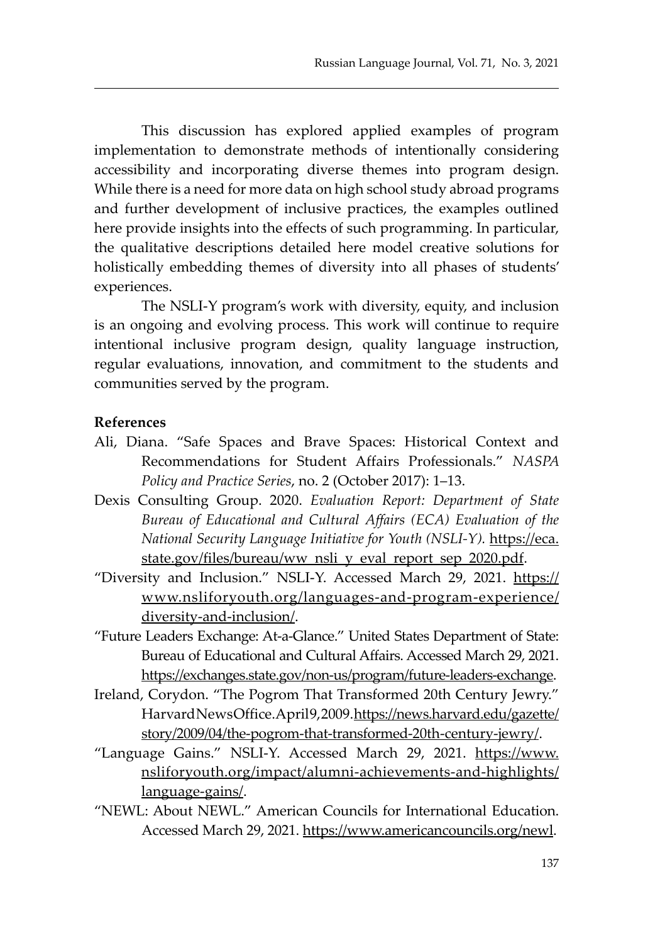This discussion has explored applied examples of program implementation to demonstrate methods of intentionally considering accessibility and incorporating diverse themes into program design. While there is a need for more data on high school study abroad programs and further development of inclusive practices, the examples outlined here provide insights into the effects of such programming. In particular, the qualitative descriptions detailed here model creative solutions for holistically embedding themes of diversity into all phases of students' experiences.

The NSLI-Y program's work with diversity, equity, and inclusion is an ongoing and evolving process. This work will continue to require intentional inclusive program design, quality language instruction, regular evaluations, innovation, and commitment to the students and communities served by the program.

#### **References**

- Ali, Diana. "Safe Spaces and Brave Spaces: Historical Context and Recommendations for Student Affairs Professionals." *NASPA Policy and Practice Series*, no. 2 (October 2017): 1–13.
- Dexis Consulting Group. 2020. *Evaluation Report: Department of State Bureau of Educational and Cultural Affairs (ECA) Evaluation of the National Security Language Initiative for Youth (NSLI-Y).* https://eca. state.gov/files/bureau/ww\_nsli\_y\_eval\_report\_sep\_2020.pdf.
- "Diversity and Inclusion." NSLI-Y. Accessed March 29, 2021. https:// www.nsliforyouth.org/languages-and-program-experience/ diversity-and-inclusion/.
- "Future Leaders Exchange: At-a-Glance." United States Department of State: Bureau of Educational and Cultural Affairs. Accessed March 29, 2021. https://exchanges.state.gov/non-us/program/future-leaders-exchange.
- Ireland, Corydon. "The Pogrom That Transformed 20th Century Jewry." Harvard News Office. April 9, 2009. https://news.harvard.edu/gazette/ story/2009/04/the-pogrom-that-transformed-20th-century-jewry/.
- "Language Gains." NSLI-Y. Accessed March 29, 2021. https://www. nsliforyouth.org/impact/alumni-achievements-and-highlights/ language-gains/.
- "NEWL: About NEWL." American Councils for International Education. Accessed March 29, 2021. https://www.americancouncils.org/newl.